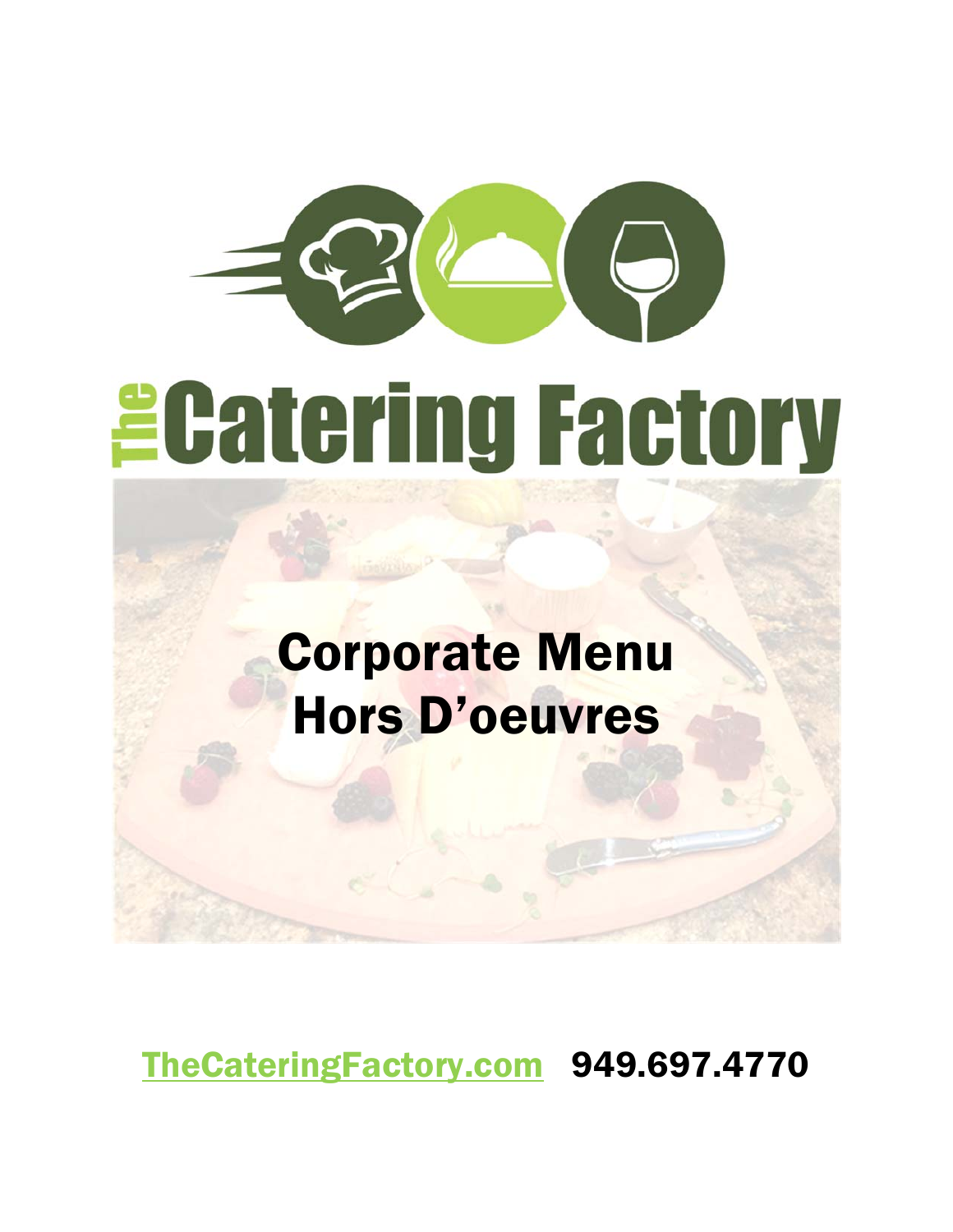# *<u>ECatering Factory</u>*

# Corporate Menu Hors D'oeuvres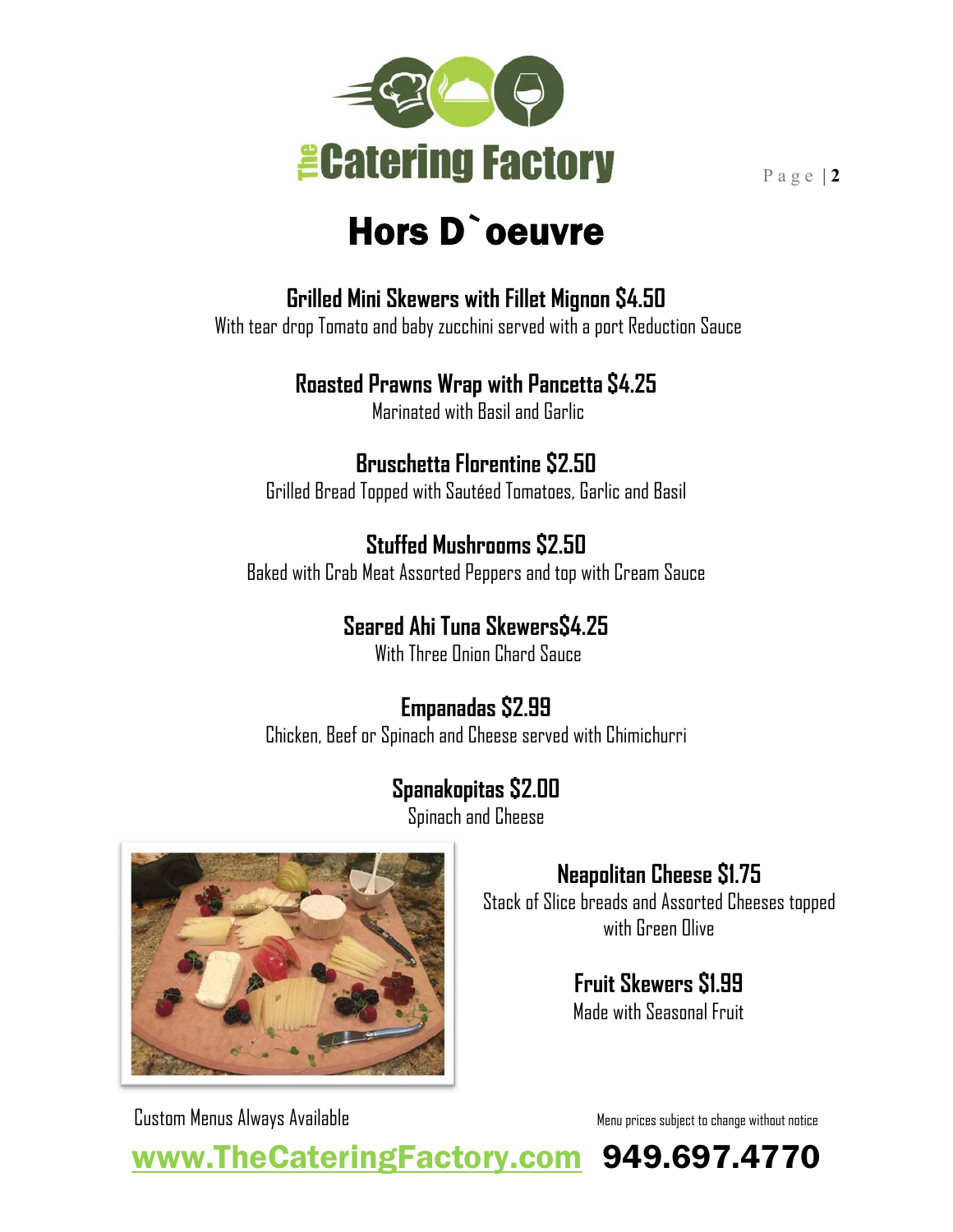

# Hors D`oeuvre

**Grilled Mini Skewers with Fillet Mignon \$4.50**

With tear drop Tomato and baby zucchini served with a port Reduction Sauce

#### **Roasted Prawns Wrap with Pancetta \$4.25**

Marinated with Basil and Garlic

#### **Bruschetta Florentine \$2.50**

Grilled Bread Topped with Sautéed Tomatoes, Garlic and Basil

#### **Stuffed Mushrooms \$2.50**

Baked with Crab Meat Assorted Peppers and top with Cream Sauce

## **Seared Ahi Tuna Skewers\$4.25**

With Three Onion Chard Sauce

## **Empanadas \$2.99**

Chicken, Beef or Spinach and Cheese served with Chimichurri

## **Spanakopitas \$2.00**

Spinach and Cheese



## **Neapolitan Cheese \$1.75**

Stack of Slice breads and Assorted Cheeses topped with Green Olive

## **Fruit Skewers \$1.99**

Made with Seasonal Fruit

Custom Menus Always Available Menu prices subject to change without notice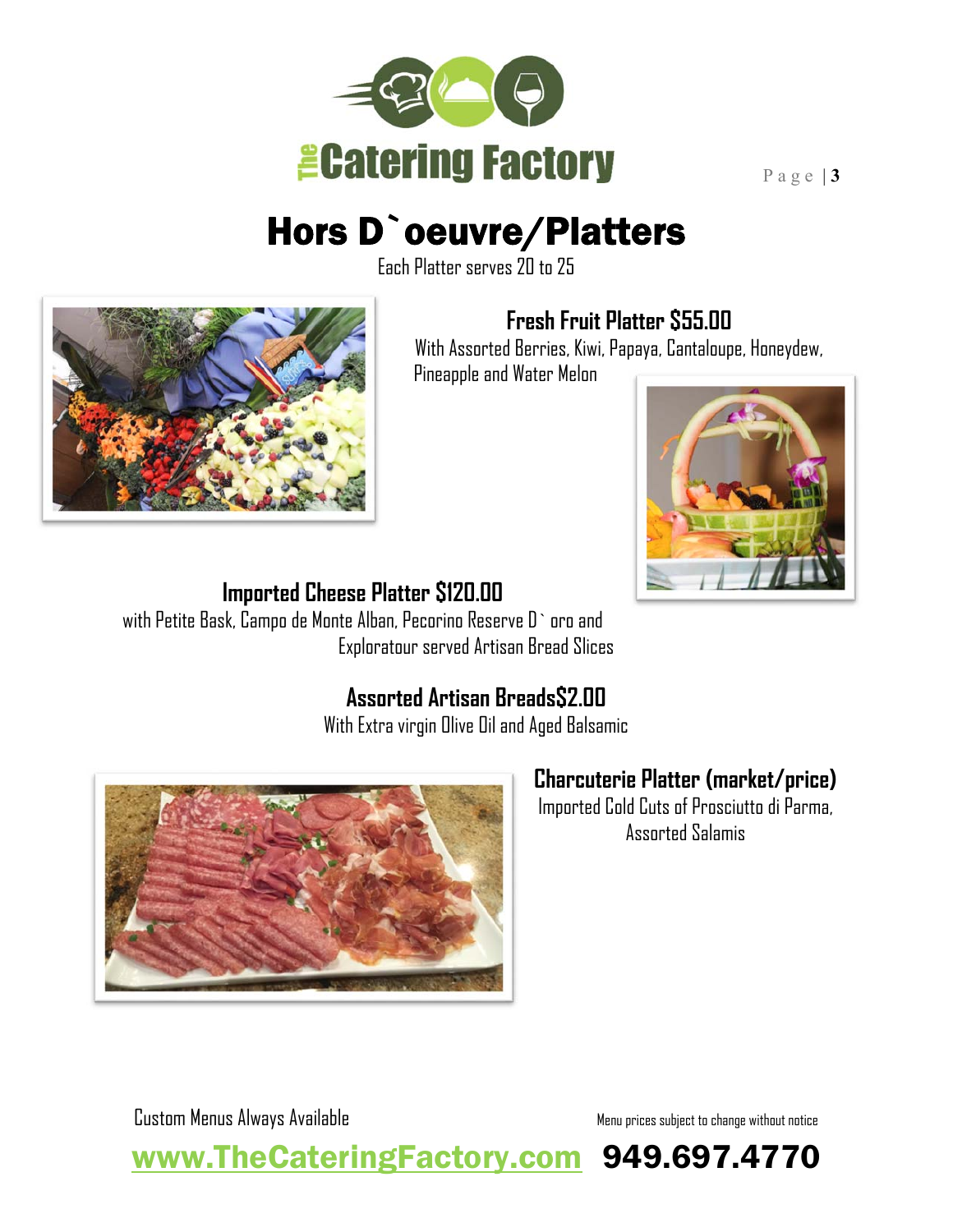

# Hors D`oeuvre/Platters

Each Platter serves 20 to 25



#### **Fresh Fruit Platter \$55.00**

With Assorted Berries, Kiwi, Papaya, Cantaloupe, Honeydew,

Pineapple and Water Melon



#### **Imported Cheese Platter \$120.00**

with Petite Bask, Campo de Monte Alban, Pecorino Reserve D` oro and Exploratour served Artisan Bread Slices

#### **Assorted Artisan Breads\$2.00**

With Extra virgin Olive Oil and Aged Balsamic



## **Charcuterie Platter (market/price)**

Imported Cold Cuts of Prosciutto di Parma, Assorted Salamis

Custom Menus Always Available Menu prices subject to change without notice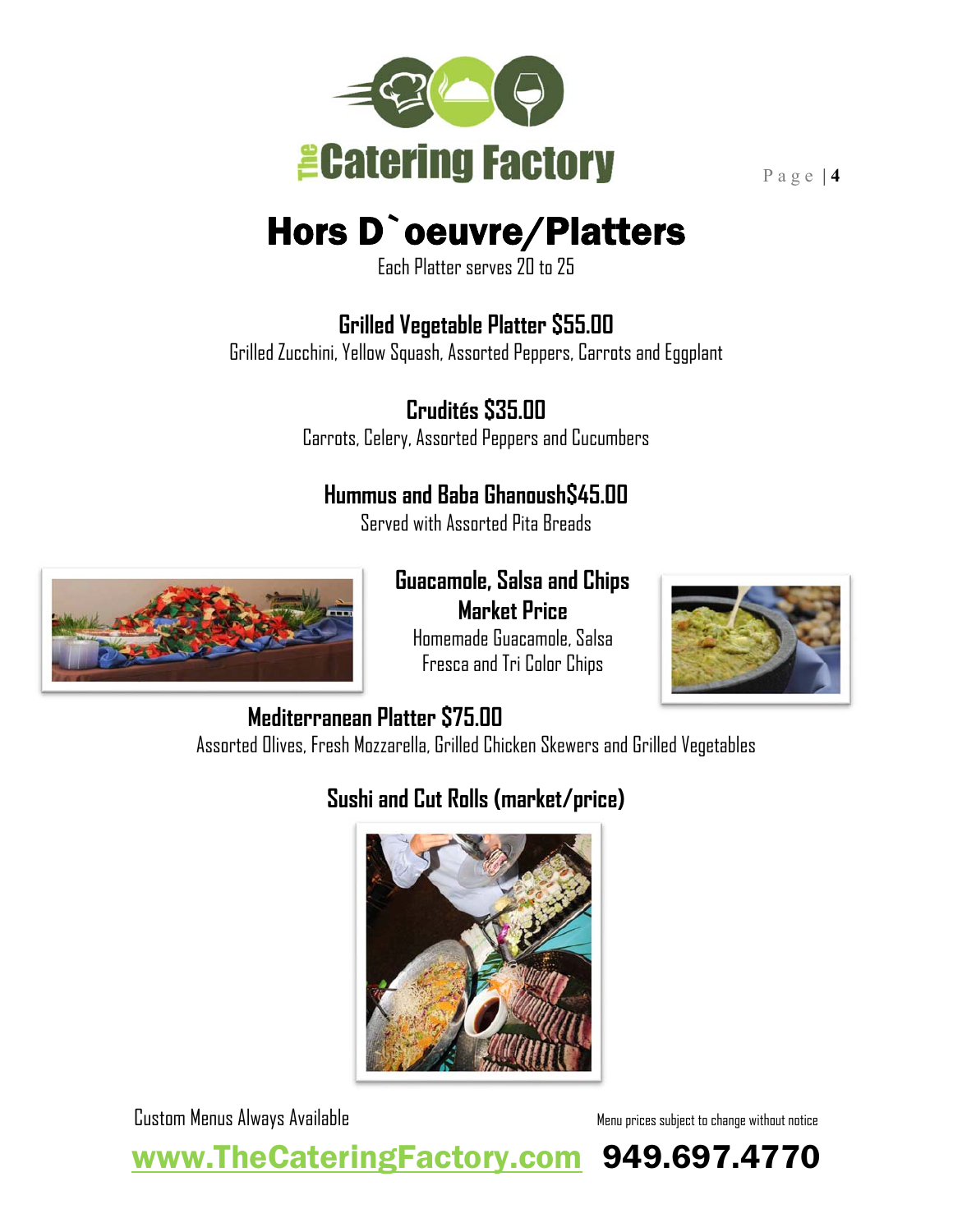

# Hors D`oeuvre/Platters

Each Platter serves 20 to 25

## **Grilled Vegetable Platter \$55.00**

Grilled Zucchini, Yellow Squash, Assorted Peppers, Carrots and Eggplant

**Crudités \$35.00**  Carrots, Celery, Assorted Peppers and Cucumbers

#### **Hummus and Baba Ghanoush\$45.00**

Served with Assorted Pita Breads



**Guacamole, Salsa and Chips** 

**Market Price**  Homemade Guacamole, Salsa Fresca and Tri Color Chips



#### **Mediterranean Platter \$75.00**

Assorted Olives, Fresh Mozzarella, Grilled Chicken Skewers and Grilled Vegetables

## **Sushi and Cut Rolls (market/price)**



Custom Menus Always Available Menu prices subject to change without notice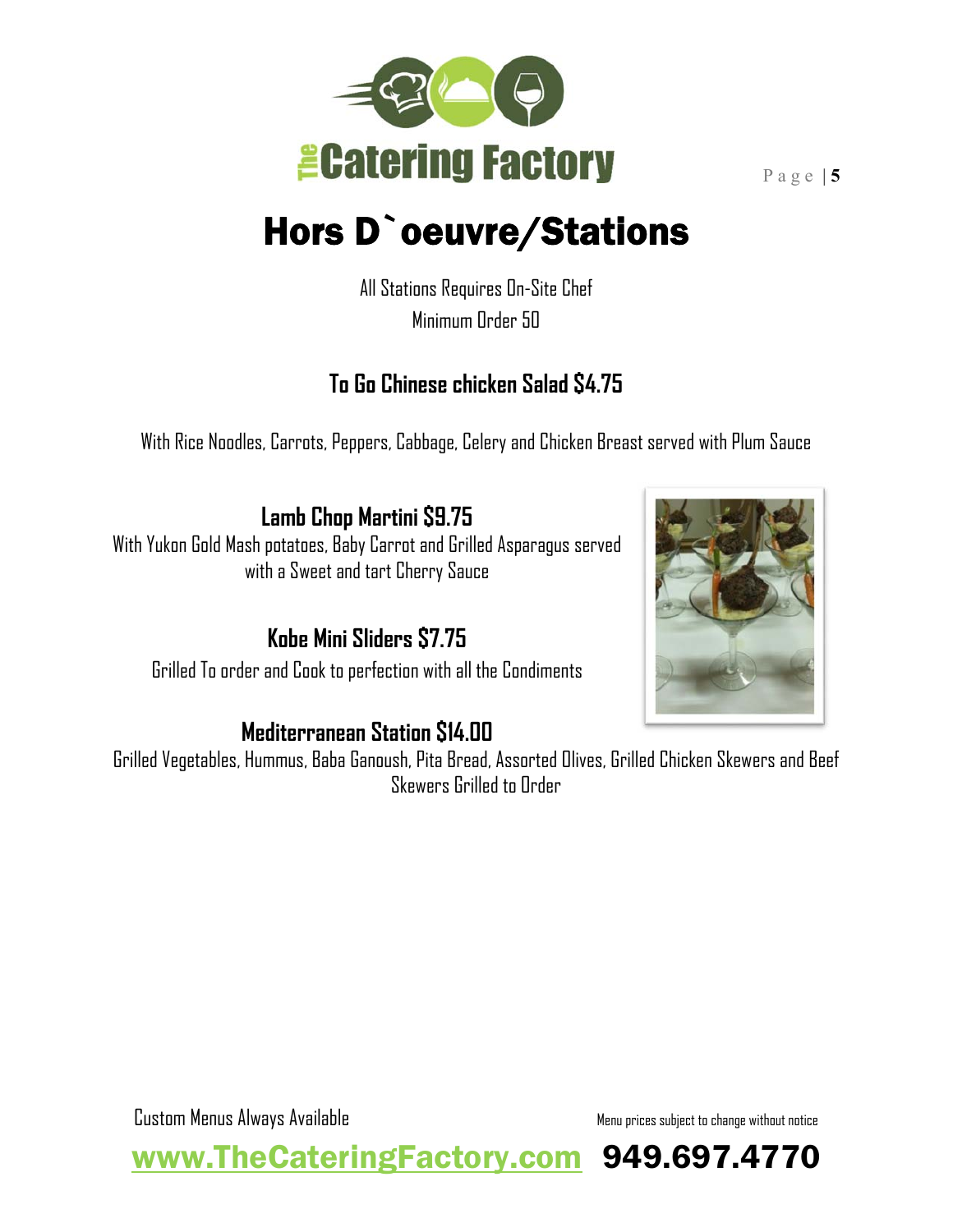

# Hors D`oeuvre/Stations

All Stations Requires On-Site Chef Minimum Order 50

#### **To Go Chinese chicken Salad \$4.75**

With Rice Noodles, Carrots, Peppers, Cabbage, Celery and Chicken Breast served with Plum Sauce

**Lamb Chop Martini \$9.75**

With Yukon Gold Mash potatoes, Baby Carrot and Grilled Asparagus served with a Sweet and tart Cherry Sauce

**Kobe Mini Sliders \$7.75**  Grilled To order and Cook to perfection with all the Condiments

#### **Mediterranean Station \$14.00**

Grilled Vegetables, Hummus, Baba Ganoush, Pita Bread, Assorted Olives, Grilled Chicken Skewers and Beef Skewers Grilled to Order



Custom Menus Always Available Menu prices subject to change without notice

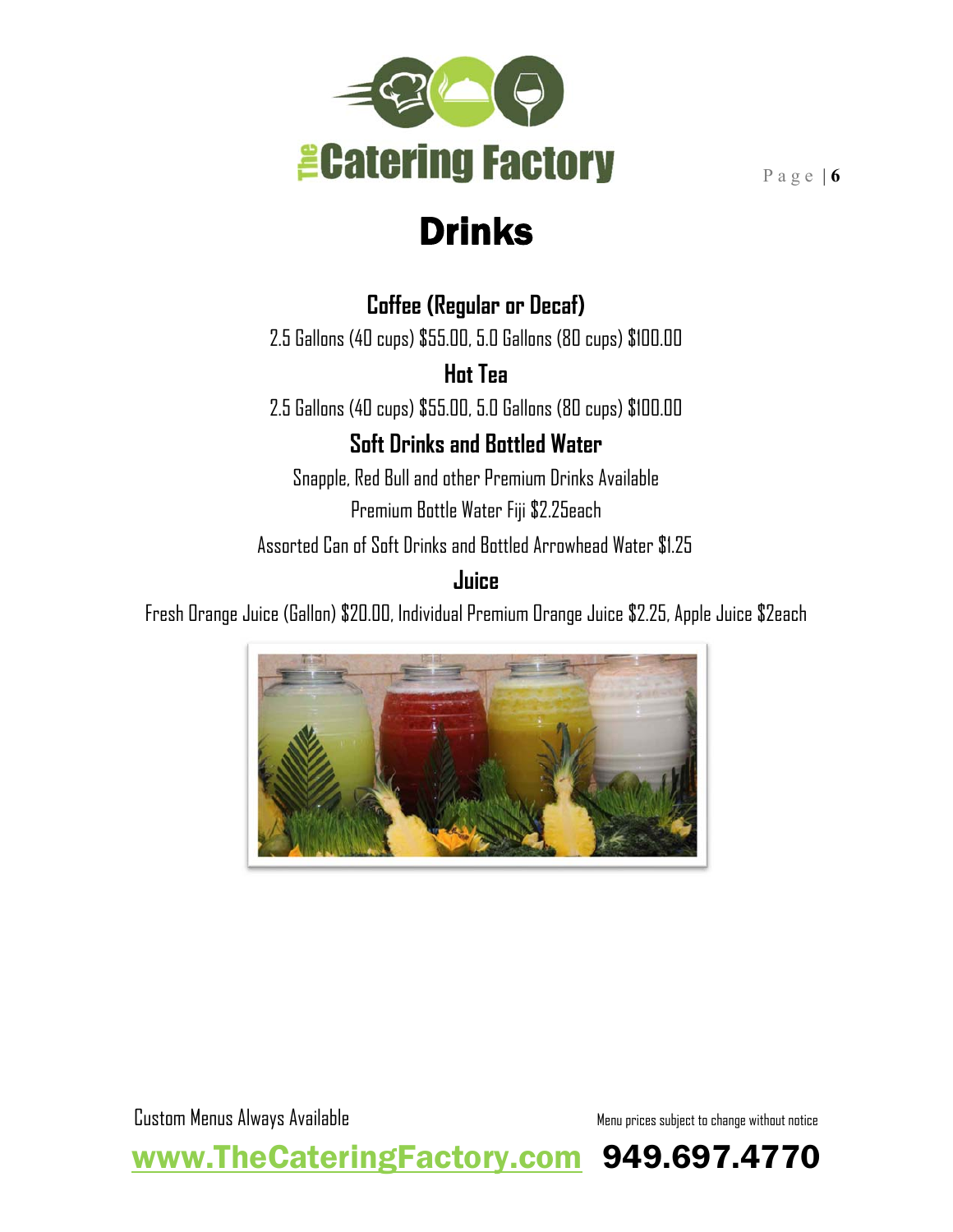

Drinks

#### **Coffee (Regular or Decaf)**

2.5 Gallons (40 cups) \$55.00, 5.0 Gallons (80 cups) \$100.00

**Hot Tea**

2.5 Gallons (40 cups) \$55.00, 5.0 Gallons (80 cups) \$100.00

#### **Soft Drinks and Bottled Water**

Snapple, Red Bull and other Premium Drinks Available Premium Bottle Water Fiji \$2.25each

Assorted Can of Soft Drinks and Bottled Arrowhead Water \$1.25

#### **Juice**

Fresh Orange Juice (Gallon) \$20.00, Individual Premium Orange Juice \$2.25, Apple Juice \$2each



www.TheCateringFactory.com 949.697.4770

Custom Menus Always Available Menu prices subject to change without notice